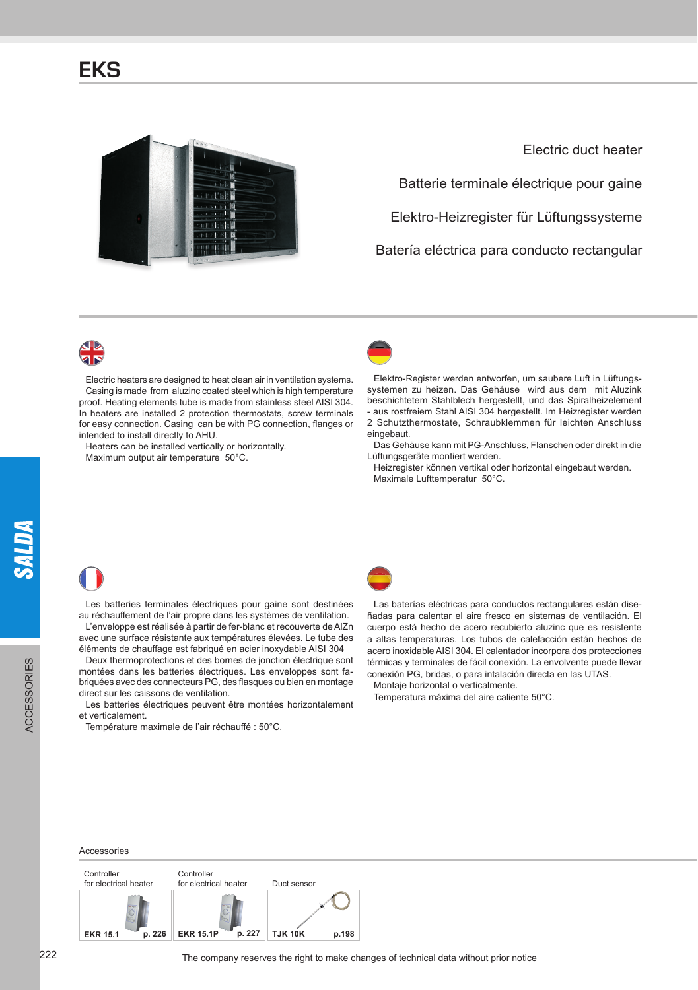

Electric duct heater

Batterie terminale électrique pour gaine

Elektro-Heizregister für Lüftungssysteme

Batería eléctrica para conducto rectangular



Electric heaters are designed to heat clean air in ventilation systems. Casing is made from aluzinc coated steel which is high temperature proof. Heating elements tube is made from stainless steel AISI 304. In heaters are installed 2 protection thermostats, screw terminals for easy connection. Casing can be with PG connection, flanges or intended to install directly to AHU.

Heaters can be installed vertically or horizontally. Maximum output air temperature 50°C.



Elektro-Register werden entworfen, um saubere Luft in Lüftungssystemen zu heizen. Das Gehäuse wird aus dem mit Aluzink beschichtetem Stahlblech hergestellt, und das Spiralheizelement - aus rostfreiem Stahl AISI 304 hergestellt. Im Heizregister werden 2 Schutzthermostate, Schraubklemmen für leichten Anschluss eingebaut.

Das Gehäuse kann mit PG-Anschluss, Flanschen oder direkt in die Lüftungsgeräte montiert werden.

Heizregister können vertikal oder horizontal eingebaut werden. Maximale Lufttemperatur 50°C.

Les batteries terminales électriques pour gaine sont destinées au réchauffement de l'air propre dans les systèmes de ventilation. L'enveloppe est réalisée à partir de fer-blanc et recouverte de AlZn

avec une surface résistante aux températures élevées. Le tube des éléments de chauffage est fabriqué en acier inoxydable AISI 304

Deux thermoprotections et des bornes de jonction électrique sont montées dans les batteries électriques. Les enveloppes sont fabriquées avec des connecteurs PG, des flasques ou bien en montage direct sur les caissons de ventilation.

Les batteries électriques peuvent être montées horizontalement et verticalement.

Température maximale de l'air réchauffé : 50°C.



Las baterías eléctricas para conductos rectangulares están diseñadas para calentar el aire fresco en sistemas de ventilación. El cuerpo está hecho de acero recubierto aluzinc que es resistente a altas temperaturas. Los tubos de calefacción están hechos de acero inoxidable AISI 304. El calentador incorpora dos protecciones térmicas y terminales de fácil conexión. La envolvente puede llevar conexión PG, bridas, o para intalación directa en las UTAS.

Montaje horizontal o verticalmente.

Temperatura máxima del aire caliente 50°C.

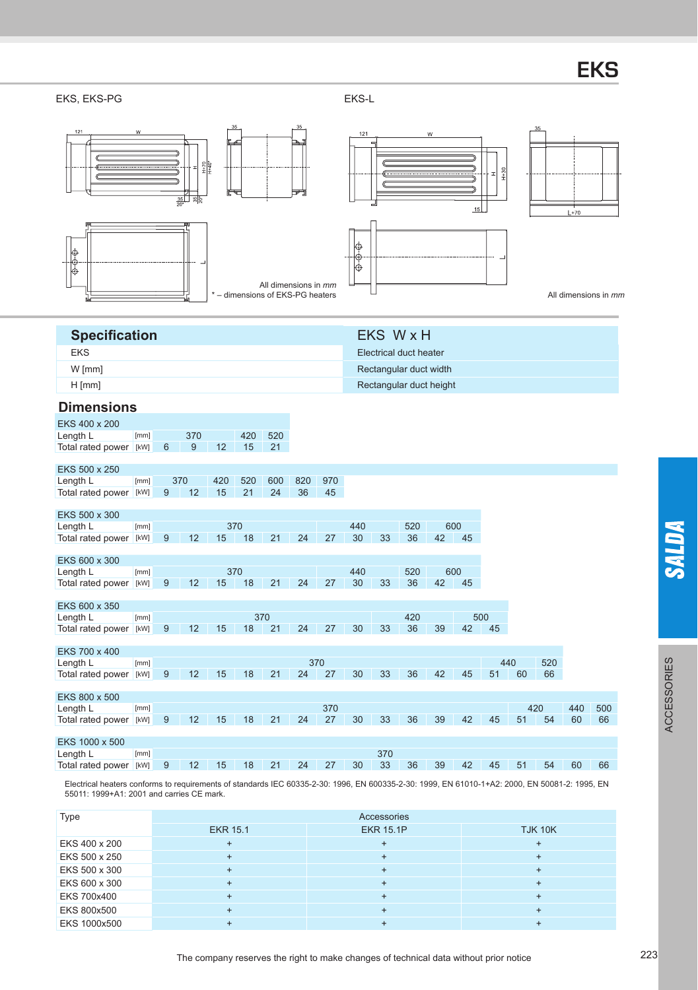# **EKS**

#### EKS, EKS-PG EKS-L



| Type          | Accessories     |                  |                |
|---------------|-----------------|------------------|----------------|
|               | <b>EKR 15.1</b> | <b>EKR 15.1P</b> | <b>TJK 10K</b> |
| EKS 400 x 200 |                 |                  |                |
| EKS 500 x 250 |                 |                  |                |
| EKS 500 x 300 |                 |                  |                |
| EKS 600 x 300 |                 |                  |                |
| EKS 700x400   |                 |                  |                |
| EKS 800x500   |                 |                  |                |
| EKS 1000x500  |                 |                  |                |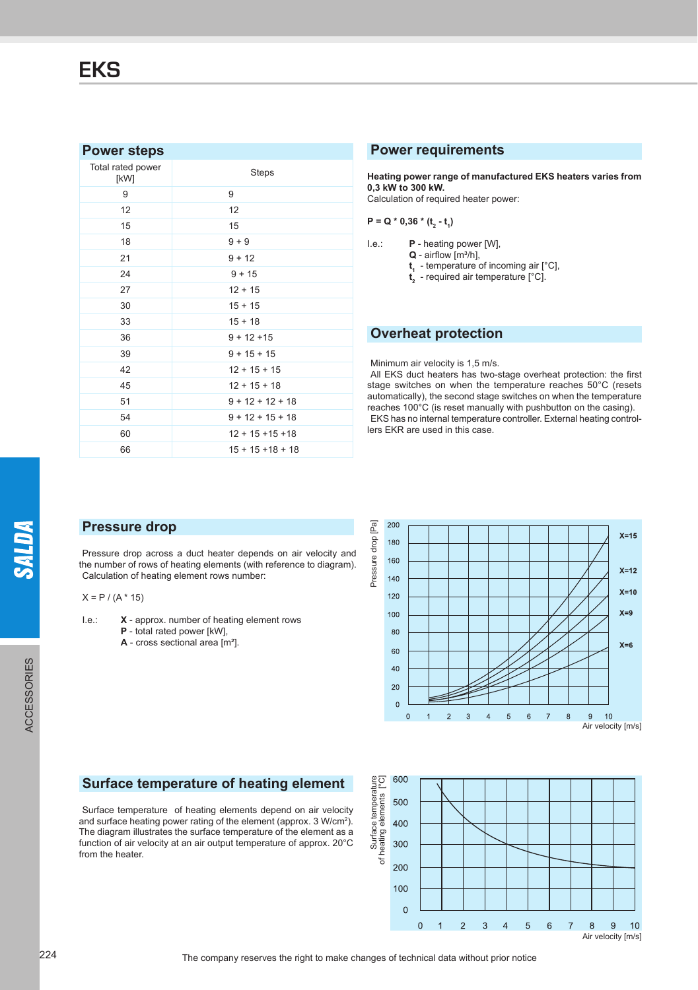## **Power steps**

| Total rated power<br>[kW] | Steps               |  |
|---------------------------|---------------------|--|
| 9                         | 9                   |  |
| 12                        | 12                  |  |
| 15                        | 15                  |  |
| 18                        | $9 + 9$             |  |
| 21                        | $9 + 12$            |  |
| 24                        | $9 + 15$            |  |
| 27                        | $12 + 15$           |  |
| 30                        | $15 + 15$           |  |
| 33                        | $15 + 18$           |  |
| 36                        | $9 + 12 + 15$       |  |
| 39                        | $9 + 15 + 15$       |  |
| 42                        | $12 + 15 + 15$      |  |
| 45                        | $12 + 15 + 18$      |  |
| 51                        | $9 + 12 + 12 + 18$  |  |
| 54                        | $9 + 12 + 15 + 18$  |  |
| 60                        | $12 + 15 + 15 + 18$ |  |
| 66                        | $15 + 15 + 18 + 18$ |  |

#### **Power requirements**

**Heating power range of manufactured EKS heaters varies from 0,3 kW to 300 kW.**

Calculation of required heater power:

 $P = Q * 0,36 * (t<sub>2</sub> - t<sub>1</sub>)$ 

I.e.: **P** - heating power [W],

 $Q$  - airflow  $[m^3/h]$ ,

**t1** - temperature of incoming air [°C],

**t2** - required air temperature [°C].

## **Overheat protection**

#### Minimum air velocity is 1,5 m/s.

All EKS duct heaters has two-stage overheat protection: the first stage switches on when the temperature reaches 50°C (resets automatically), the second stage switches on when the temperature reaches 100°C (is reset manually with pushbutton on the casing). EKS has no internal temperature controller. External heating controllers EKR are used in this case.

## **Pressure drop**

Pressure drop across a duct heater depends on air velocity and the number of rows of heating elements (with reference to diagram). Calculation of heating element rows number:

 $X = P / (A * 15)$ 

- I.e.: **X** approx. number of heating element rows **P** - total rated power [kW],
	- **A** cross sectional area [m²].



## **Surface temperature of heating element**

Surface temperature of heating elements depend on air velocity and surface heating power rating of the element (approx. 3 W/cm<sup>2</sup>). The diagram illustrates the surface temperature of the element as a function of air velocity at an air output temperature of approx. 20°C from the heater.